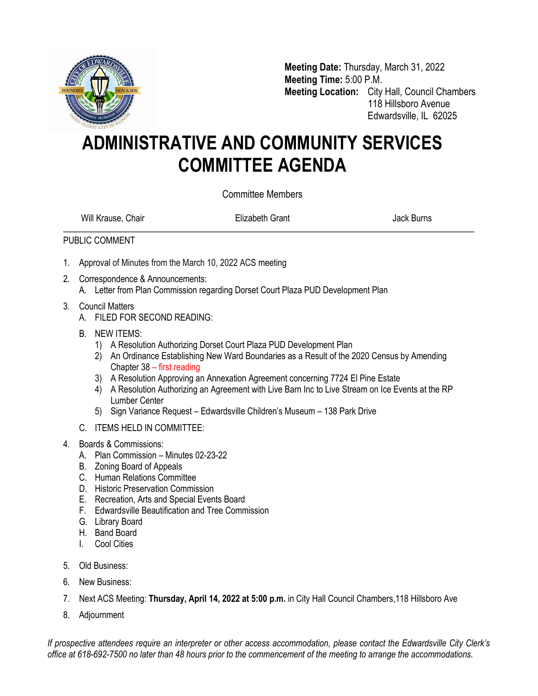

**Meeting Date:** Thursday, March 31, 2022 **Meeting Time:** 5:00 P.M. **Meeting Location:** City Hall, Council Chambers 118 Hillsboro Avenue Edwardsville, IL 62025

## **ADMINISTRATIVE AND COMMUNITY SERVICES COMMITTEE AGENDA**

Committee Members

Will Krause, Chair **Elizabeth Grant Chair Elizabeth Grant** Alexander Museum Back Burns

## PUBLIC COMMENT

- 1. Approval of Minutes from the March 10, 2022 ACS meeting
- 2. Correspondence & Announcements:
	- A. Letter from Plan Commission regarding Dorset Court Plaza PUD Development Plan
- 3. Council Matters
	- A. FILED FOR SECOND READING:
	- B. NEW ITEMS:
		- 1) A Resolution Authorizing Dorset Court Plaza PUD Development Plan
		- 2) An Ordinance Establishing New Ward Boundaries as a Result of the 2020 Census by Amending Chapter 38 – first reading
		- 3) A Resolution Approving an Annexation Agreement concerning 7724 El Pine Estate
		- 4) A Resolution Authorizing an Agreement with Live Barn Inc to Live Stream on Ice Events at the RP Lumber Center
		- 5) Sign Variance Request Edwardsville Children's Museum 138 Park Drive
	- C. ITEMS HELD IN COMMITTEE:
- 4. Boards & Commissions:
	- A. Plan Commission Minutes 02-23-22
	- B. Zoning Board of Appeals
	- C. Human Relations Committee
	- D. Historic Preservation Commission
	- E. Recreation, Arts and Special Events Board
	- F. Edwardsville Beautification and Tree Commission
	- G. Library Board
	- H. Band Board
	- I. Cool Cities
- 5. Old Business:
- 6. New Business:
- 7. Next ACS Meeting: **Thursday, April 14, 2022 at 5:00 p.m.** in City Hall Council Chambers,118 Hillsboro Ave
- 8. Adjournment

*If prospective attendees require an interpreter or other access accommodation, please contact the Edwardsville City Clerk's office at 618-692-7500 no later than 48 hours prior to the commencement of the meeting to arrange the accommodations.*